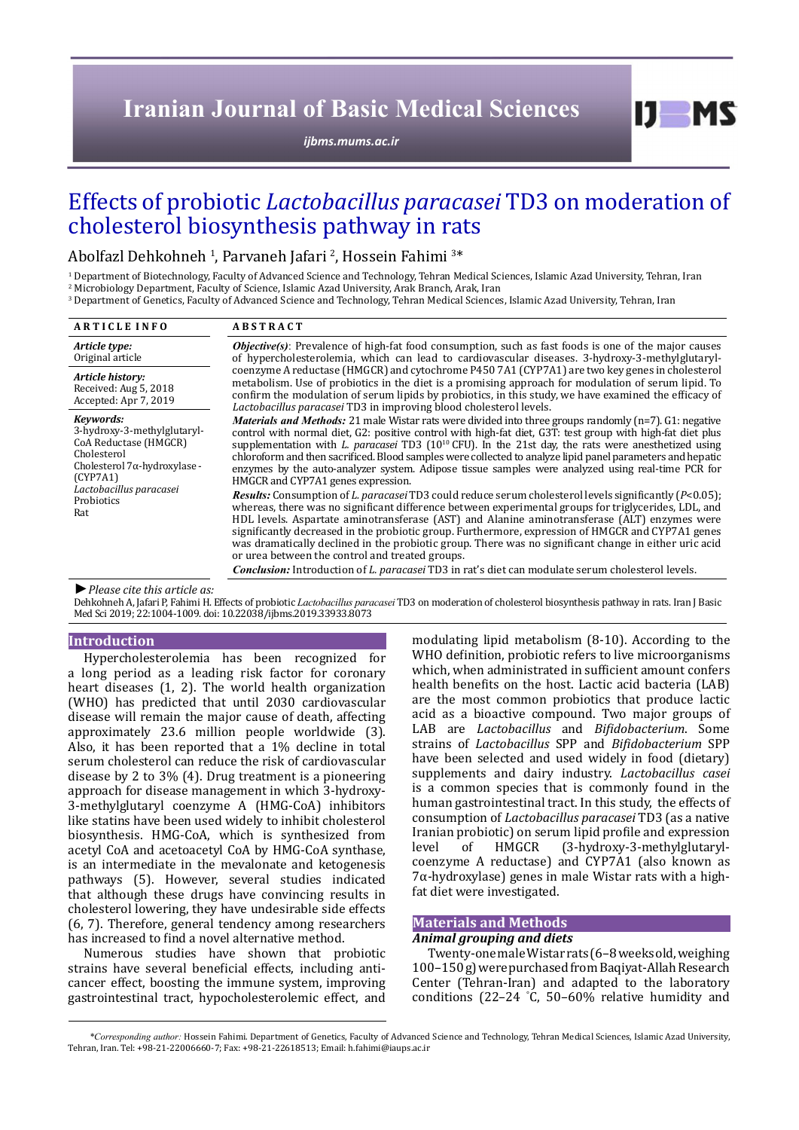# **Iranian Journal of Basic Medical Sciences**

*[ijbms.mums.ac.ir](http://ijbms.mums.ac.ir)*

# Effects of probiotic *Lactobacillus paracasei* TD3 on moderation of cholesterol biosynthesis pathway in rats

Abolfazl Dehkohneh <sup>1</sup>, Parvaneh Jafari <sup>2</sup>, Hossein Fahimi <sup>3\*</sup>

1 Department of Biotechnology, Faculty of Advanced Science and Technology, Tehran Medical Sciences, Islamic Azad University, Tehran, Iran 2 Microbiology Department, Faculty of Science, Islamic Azad University, Arak Branch, Arak, Iran

 $\,^3$  Department of Genetics, Faculty of Advanced Science and Technology, Tehran Medical Sciences, Islamic Azad University, Tehran, Iran $\,$ 

| <b>ARTICLE INFO</b>                                                                                                                                                          | <b>ABSTRACT</b>                                                                                                                                                                                                                                                                                                                                                                                                                                                                                                                                                                                  |  |  |
|------------------------------------------------------------------------------------------------------------------------------------------------------------------------------|--------------------------------------------------------------------------------------------------------------------------------------------------------------------------------------------------------------------------------------------------------------------------------------------------------------------------------------------------------------------------------------------------------------------------------------------------------------------------------------------------------------------------------------------------------------------------------------------------|--|--|
| Article type:<br>Original article                                                                                                                                            | <b>Objective(s)</b> : Prevalence of high-fat food consumption, such as fast foods is one of the major causes<br>of hypercholesterolemia, which can lead to cardiovascular diseases. 3-hydroxy-3-methylglutaryl-                                                                                                                                                                                                                                                                                                                                                                                  |  |  |
| Article history:<br>Received: Aug 5, 2018<br>Accepted: Apr 7, 2019                                                                                                           | coenzyme A reductase (HMGCR) and cytochrome P450 7A1 (CYP7A1) are two key genes in cholesterol<br>metabolism. Use of probiotics in the diet is a promising approach for modulation of serum lipid. To<br>confirm the modulation of serum lipids by probiotics, in this study, we have examined the efficacy of<br>Lactobacillus paracasei TD3 in improving blood cholesterol levels.                                                                                                                                                                                                             |  |  |
| Kevwords:<br>3-hydroxy-3-methylglutaryl-<br>CoA Reductase (HMGCR)<br>Cholesterol<br>Cholesterol 7α-hydroxylase -<br>(CYP7A1)<br>Lactobacillus paracasei<br>Probiotics<br>Rat | <i>Materials and Methods:</i> 21 male Wistar rats were divided into three groups randomly (n=7). G1: negative<br>control with normal diet, G2: positive control with high-fat diet, G3T: test group with high-fat diet plus<br>supplementation with L. paracasei TD3 $(10^{10}$ CFU). In the 21st day, the rats were anesthetized using<br>chloroform and then sacrificed. Blood samples were collected to analyze lipid panel parameters and hepatic<br>enzymes by the auto-analyzer system. Adipose tissue samples were analyzed using real-time PCR for<br>HMGCR and CYP7A1 genes expression. |  |  |
|                                                                                                                                                                              | <b>Results:</b> Consumption of L. paracasei TD3 could reduce serum cholesterol levels significantly ( $P<0.05$ );<br>whereas, there was no significant difference between experimental groups for triglycerides, LDL, and<br>HDL levels. Aspartate aminotransferase (AST) and Alanine aminotransferase (ALT) enzymes were<br>significantly decreased in the probiotic group. Furthermore, expression of HMGCR and CYP7A1 genes<br>was dramatically declined in the probiotic group. There was no significant change in either uric acid<br>or urea between the control and treated groups.       |  |  |
|                                                                                                                                                                              | <i>Conclusion:</i> Introduction of <i>L. paracasei</i> TD3 in rat's diet can modulate serum cholesterol levels.                                                                                                                                                                                                                                                                                                                                                                                                                                                                                  |  |  |
|                                                                                                                                                                              |                                                                                                                                                                                                                                                                                                                                                                                                                                                                                                                                                                                                  |  |  |

*►Please cite this article as:*

Dehkohneh A, Jafari P, Fahimi H. Effects of probiotic *Lactobacillus paracasei* TD3 on moderation of cholesterol biosynthesis pathway in rats. Iran J Basic Med Sci 2019; 22:1004-1009. doi: 10.22038/ijbms.2019.33933.8073

#### **Introduction**

Hypercholesterolemia has been recognized for a long period as a leading risk factor for coronary heart diseases (1, 2). The world health organization (WHO) has predicted that until 2030 cardiovascular disease will remain the major cause of death, affecting approximately 23.6 million people worldwide (3). Also, it has been reported that a 1% decline in total serum cholesterol can reduce the risk of cardiovascular disease by 2 to 3% (4). Drug treatment is a pioneering approach for disease management in which 3-hydroxy-3-methylglutaryl coenzyme A (HMG-CoA) inhibitors like statins have been used widely to inhibit cholesterol biosynthesis. HMG-CoA, which is synthesized from acetyl CoA and acetoacetyl CoA by HMG-CoA synthase, is an intermediate in the mevalonate and ketogenesis pathways (5). However, several studies indicated that although these drugs have convincing results in cholesterol lowering, they have undesirable side effects (6, 7). Therefore, general tendency among researchers has increased to find a novel alternative method.

Numerous studies have shown that probiotic strains have several beneficial effects, including anticancer effect, boosting the immune system, improving gastrointestinal tract, hypocholesterolemic effect, and

modulating lipid metabolism (8-10). According to the WHO definition, probiotic refers to live microorganisms which, when administrated in sufficient amount confers health benefits on the host. Lactic acid bacteria (LAB) are the most common probiotics that produce lactic acid as a bioactive compound. Two major groups of LAB are *Lactobacillus* and *Bifidobacterium*. Some strains of *Lactobacillus* SPP and *Bifidobacterium* SPP have been selected and used widely in food (dietary) supplements and dairy industry. *Lactobacillus casei* is a common species that is commonly found in the human gastrointestinal tract. In this study, the effects of consumption of *Lactobacillus paracasei* TD3 (as a native Iranian probiotic) on serum lipid profile and expression (3-hydroxy-3-methylglutarylcoenzyme A reductase) and CYP7A1 (also known as 7α-hydroxylase) genes in male Wistar rats with a highfat diet were investigated.

 $I$   $I$   $M$   $S$ 

# **Materials and Methods**

## *Animal grouping and diets*

Twenty-one male Wistar rats (6–8 weeks old, weighing 100–150 g) were purchased from Baqiyat-Allah Research Center (Tehran-Iran) and adapted to the laboratory conditions (22–24 ° C, 50–60% relative humidity and

*\*Corresponding author:* Hossein Fahimi. Department of Genetics, Faculty of Advanced Science and Technology, Tehran Medical Sciences, Islamic Azad University, Tehran, Iran. Tel: +98-21-22006660-7; Fax: +98-21-22618513; Email: h.fahimi@iaups.ac.ir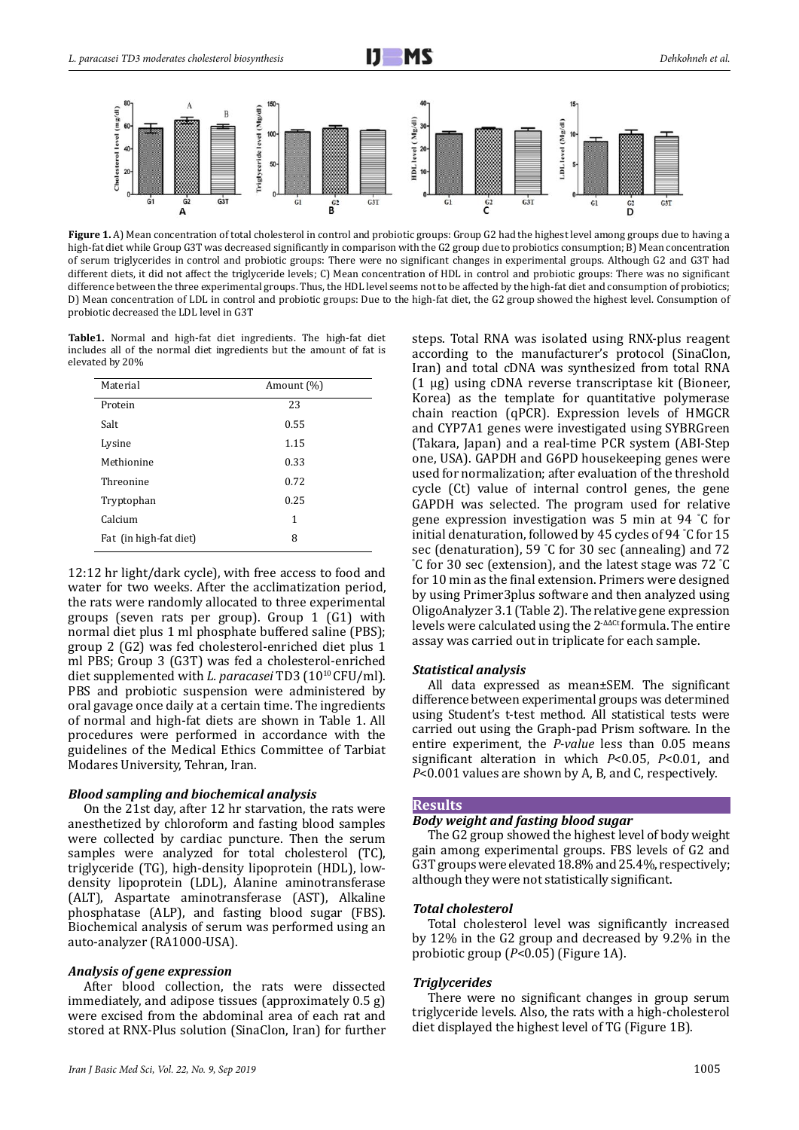



**Figure 1.** A) Mean concentration of total cholesterol in control and probiotic groups: Group G2 had the highest level among groups due to having a high-fat diet while Group G3T was decreased significantly in comparison with the G2 group due to probiotics consumption; B) Mean concentration of serum triglycerides in control and probiotic groups: There were no significant changes in experimental groups. Although G2 and G3T had different diets, it did not affect the triglyceride levels; C) Mean concentration of HDL in control and probiotic groups: There was no significant difference between the three experimental groups. Thus, the HDL level seems not to be affected by the high-fat diet and consumption of probiotics; D) Mean concentration of LDL in control and probiotic groups: Due to the high-fat diet, the G2 group showed the highest level. Consumption of probiotic decreased the LDL level in G3T

**Table1.** Normal and high-fat diet ingredients. The high-fat diet includes all of the normal diet ingredients but the amount of fat is elevated by 20%

| Material               | Amount (%) |
|------------------------|------------|
| Protein                | 23         |
| Salt                   | 0.55       |
| Lysine                 | 1.15       |
| Methionine             | 0.33       |
| Threonine              | 0.72       |
| Tryptophan             | 0.25       |
| Calcium                | 1          |
| Fat (in high-fat diet) | 8          |

12:12 hr light/dark cycle), with free access to food and water for two weeks. After the acclimatization period, the rats were randomly allocated to three experimental groups (seven rats per group). Group 1 (G1) with normal diet plus 1 ml phosphate buffered saline (PBS); group 2 (G2) was fed cholesterol-enriched diet plus 1 ml PBS; Group 3 (G3T) was fed a cholesterol-enriched diet supplemented with *L. paracasei* TD3 (1010 CFU/ml). PBS and probiotic suspension were administered by oral gavage once daily at a certain time. The ingredients of normal and high-fat diets are shown in Table 1. All procedures were performed in accordance with the guidelines of the Medical Ethics Committee of Tarbiat Modares University, Tehran, Iran.

#### *Blood sampling and biochemical analysis*

On the 21st day, after 12 hr starvation, the rats were anesthetized by chloroform and fasting blood samples were collected by cardiac puncture. Then the serum samples were analyzed for total cholesterol (TC), triglyceride (TG), high-density lipoprotein (HDL), lowdensity lipoprotein (LDL), Alanine aminotransferase (ALT), Aspartate aminotransferase (AST), Alkaline phosphatase (ALP), and fasting blood sugar (FBS). Biochemical analysis of serum was performed using an auto-analyzer (RA1000-USA).

## *Analysis of gene expression*

After blood collection, the rats were dissected immediately, and adipose tissues (approximately 0.5 g) were excised from the abdominal area of each rat and stored at RNX-Plus solution (SinaClon, Iran) for further steps. Total RNA was isolated using RNX-plus reagent according to the manufacturer's protocol (SinaClon, Iran) and total cDNA was synthesized from total RNA (1 µg) using cDNA reverse transcriptase kit (Bioneer, Korea) as the template for quantitative polymerase chain reaction (qPCR). Expression levels of HMGCR and CYP7A1 genes were investigated using SYBRGreen (Takara, Japan) and a real-time PCR system (ABI-Step one, USA). GAPDH and G6PD housekeeping genes were used for normalization; after evaluation of the threshold cycle (Ct) value of internal control genes, the gene GAPDH was selected. The program used for relative gene expression investigation was 5 min at 94 ° C for initial denaturation, followed by 45 cycles of 94 ° C for 15 sec (denaturation), 59 °C for 30 sec (annealing) and 72 sec (denaturation), 59 °C for 30 sec (annealing) and 72<br>°C for 30 sec (extension), and the latest stage was 72 °C for 10 min as the final extension. Primers were designed by using Primer3plus software and then analyzed using OligoAnalyzer 3.1 (Table 2). The relative gene expression levels were calculated using the 2<sup>-ΔΔCt</sup> formula. The entire assay was carried out in triplicate for each sample.

#### *Statistical analysis*

All data expressed as mean±SEM. The significant difference between experimental groups was determined using Student's t-test method. All statistical tests were carried out using the Graph-pad Prism software. In the entire experiment, the *P-value* less than 0.05 means significant alteration in which *P*<0.05, *P*<0.01, and *P*<0.001 values are shown by A, B, and C, respectively.

#### **Results**

#### *Body weight and fasting blood sugar*

The G2 group showed the highest level of body weight gain among experimental groups. FBS levels of G2 and G3T groups were elevated 18.8% and 25.4%, respectively; although they were not statistically significant.

#### *Total cholesterol*

Total cholesterol level was significantly increased by 12% in the G2 group and decreased by 9.2% in the probiotic group (*P*<0.05) (Figure 1A).

#### *Triglycerides*

There were no significant changes in group serum triglyceride levels. Also, the rats with a high-cholesterol diet displayed the highest level of TG (Figure 1B).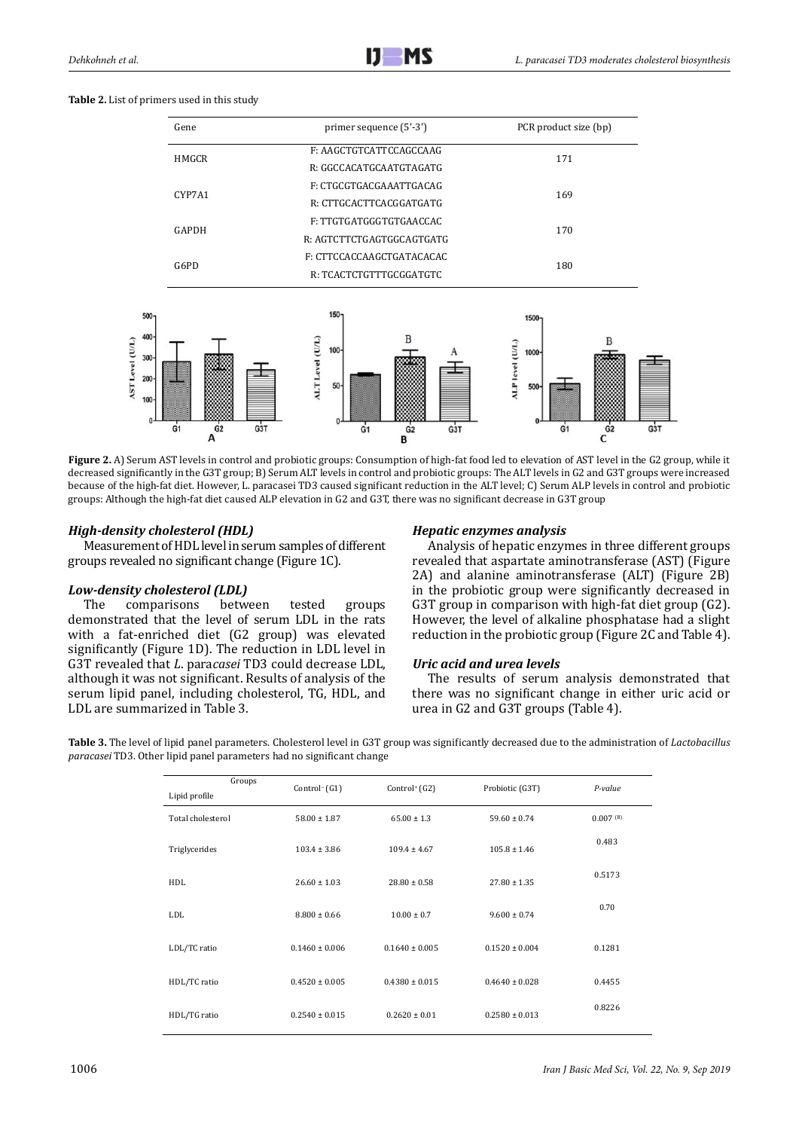| Gene         | primer sequence (5'-3')   | PCR product size (bp) |  |
|--------------|---------------------------|-----------------------|--|
| <b>HMGCR</b> | F: AAGCTGTCATTCCAGCCAAG   | 171                   |  |
|              | R: GGCCACATGCAATGTAGATG   |                       |  |
| CYP7A1       | F: CTGCGTGACGAAATTGACAG   | 169                   |  |
|              | R: CTTGCACTTCACGGATGATG   |                       |  |
| GAPDH        | F: TTGTGATGGGTGTGAACCAC   |                       |  |
|              | R: AGTCTTCTGAGTGCAGTGATG  | 170                   |  |
| G6PD         | F: CTTCCACCAAGCTGATACACAC |                       |  |
|              | R: TCACTCTGTTTGCGGATGTC   | 180                   |  |

**Table 2.** List of primers used in this study



**Figure 2.** A) Serum AST levels in control and probiotic groups: Consumption of high-fat food led to elevation of AST level in the G2 group, while it decreased significantly in the G3T group; B) Serum ALT levels in control and probiotic groups: The ALT levels in G2 and G3T groups were increased because of the high-fat diet. However, L. paracasei TD3 caused significant reduction in the ALT level; C) Serum ALP levels in control and probiotic groups: Although the high-fat diet caused ALP elevation in G2 and G3T, there was no significant decrease in G3T group

# *High-density cholesterol (HDL)*

Measurement of HDL level in serum samples of different groups revealed no significant change (Figure 1C).

# *Low-density cholesterol (LDL)*

The comparisons between tested groups demonstrated that the level of serum LDL in the rats with a fat-enriched diet (G2 group) was elevated significantly (Figure 1D). The reduction in LDL level in G3T revealed that *L*. para*casei* TD3 could decrease LDL, although it was not significant. Results of analysis of the serum lipid panel, including cholesterol, TG, HDL, and LDL are summarized in Table 3.

## *Hepatic enzymes analysis*

Analysis of hepatic enzymes in three different groups revealed that aspartate aminotransferase (AST) (Figure 2A) and alanine aminotransferase (ALT) (Figure 2B) in the probiotic group were significantly decreased in G3T group in comparison with high-fat diet group (G2). However, the level of alkaline phosphatase had a slight reduction in the probiotic group (Figure 2C and Table 4).

## *Uric acid and urea levels*

The results of serum analysis demonstrated that there was no significant change in either uric acid or urea in G2 and G3T groups (Table 4).

**Table 3.** The level of lipid panel parameters. Cholesterol level in G3T group was significantly decreased due to the administration of *Lactobacillus paracasei* TD3. Other lipid panel parameters had no significant change

| Groups<br>Lipid profile | Control $(G1)$     | Control <sup>+</sup> $(G2)$ | Probiotic (G3T)    | P-value                |
|-------------------------|--------------------|-----------------------------|--------------------|------------------------|
| Total cholesterol       | $58.00 \pm 1.87$   | $65.00 \pm 1.3$             | $59.60 \pm 0.74$   | $0.007$ <sup>(B)</sup> |
| Triglycerides           | $103.4 \pm 3.86$   | $109.4 \pm 4.67$            | $105.8 \pm 1.46$   | 0.483                  |
| HDL                     | $26.60 \pm 1.03$   | $28.80 \pm 0.58$            | $27.80 \pm 1.35$   | 0.5173                 |
| LDL                     | $8.800 \pm 0.66$   | $10.00 \pm 0.7$             | $9.600 \pm 0.74$   | 0.70                   |
| LDL/TC ratio            | $0.1460 \pm 0.006$ | $0.1640 \pm 0.005$          | $0.1520 \pm 0.004$ | 0.1281                 |
| HDL/TC ratio            | $0.4520 \pm 0.005$ | $0.4380 \pm 0.015$          | $0.4640 \pm 0.028$ | 0.4455                 |
| HDL/TG ratio            | $0.2540 \pm 0.015$ | $0.2620 \pm 0.01$           | $0.2580 \pm 0.013$ | 0.8226                 |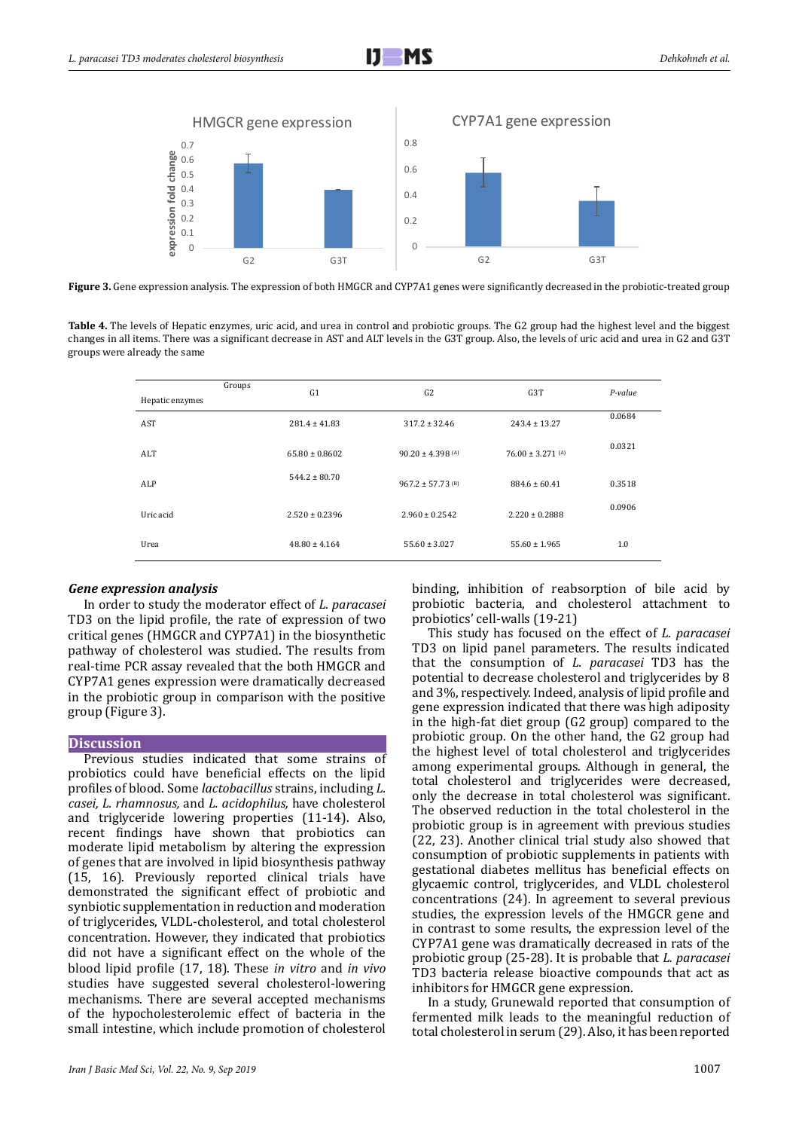

Figure 3. Gene expression analysis. The expression of both HMGCR and CYP7A1 genes were significantly decreased in the probiotic-treated group

**Table 4.** The levels of Hepatic enzymes, uric acid, and urea in control and probiotic groups. The G2 group had the highest level and the biggest changes in all items. There was a significant decrease in AST and ALT levels in the G3T group. Also, the levels of uric acid and urea in G2 and G3T groups were already the same

|                 | Groups | G1                 | G2                               | G3T                   | $P-value$ |
|-----------------|--------|--------------------|----------------------------------|-----------------------|-----------|
| Hepatic enzymes |        |                    |                                  |                       |           |
| AST             |        | $281.4 \pm 41.83$  | $317.2 \pm 32.46$                | $243.4 \pm 13.27$     | 0.0684    |
| ALT             |        | $65.80 \pm 0.8602$ | $90.20 \pm 4.398$ (A)            | $76.00 \pm 3.271$ (A) | 0.0321    |
| ALP             |        | $544.2 \pm 80.70$  | $967.2 \pm 57.73$ <sup>(B)</sup> | $884.6 \pm 60.41$     | 0.3518    |
| Uric acid       |        | $2.520 \pm 0.2396$ | $2.960 \pm 0.2542$               | $2.220 \pm 0.2888$    | 0.0906    |
| Urea            |        | $48.80 \pm 4.164$  | $55.60 \pm 3.027$                | $55.60 \pm 1.965$     | 1.0       |

## *Gene expression analysis*

In order to study the moderator effect of *L. paracasei* TD3 on the lipid profile, the rate of expression of two critical genes (HMGCR and CYP7A1) in the biosynthetic pathway of cholesterol was studied. The results from real-time PCR assay revealed that the both HMGCR and CYP7A1 genes expression were dramatically decreased in the probiotic group in comparison with the positive group (Figure 3).

## **Discussion**

Previous studies indicated that some strains of probiotics could have beneficial effects on the lipid profiles of blood. Some *lactobacillus* strains, including *L. casei, L. rhamnosus,* and *L. acidophilus,* have cholesterol and triglyceride lowering properties (11-14). Also, recent findings have shown that probiotics can moderate lipid metabolism by altering the expression of genes that are involved in lipid biosynthesis pathway (15, 16). Previously reported clinical trials have demonstrated the significant effect of probiotic and synbiotic supplementation in reduction and moderation of triglycerides, VLDL-cholesterol, and total cholesterol concentration. However, they indicated that probiotics did not have a significant effect on the whole of the blood lipid profile (17, 18). These *in vitro* and *in vivo* studies have suggested several cholesterol-lowering mechanisms. There are several accepted mechanisms of the hypocholesterolemic effect of bacteria in the small intestine, which include promotion of cholesterol binding, inhibition of reabsorption of bile acid by probiotic bacteria, and cholesterol attachment to probiotics' cell-walls (19-21)

This study has focused on the effect of *L. paracasei* TD3 on lipid panel parameters. The results indicated that the consumption of *L. paracasei* TD3 has the potential to decrease cholesterol and triglycerides by 8 and 3%, respectively. Indeed, analysis of lipid profile and gene expression indicated that there was high adiposity in the high-fat diet group (G2 group) compared to the probiotic group. On the other hand, the G2 group had the highest level of total cholesterol and triglycerides among experimental groups. Although in general, the total cholesterol and triglycerides were decreased, only the decrease in total cholesterol was significant. The observed reduction in the total cholesterol in the probiotic group is in agreement with previous studies (22, 23). Another clinical trial study also showed that consumption of probiotic supplements in patients with gestational diabetes mellitus has beneficial effects on glycaemic control, triglycerides, and VLDL cholesterol concentrations (24). In agreement to several previous studies, the expression levels of the HMGCR gene and in contrast to some results, the expression level of the CYP7A1 gene was dramatically decreased in rats of the probiotic group (25-28). It is probable that *L. paracasei* TD3 bacteria release bioactive compounds that act as inhibitors for HMGCR gene expression.

In a study, Grunewald reported that consumption of fermented milk leads to the meaningful reduction of total cholesterol in serum (29). Also, it has been reported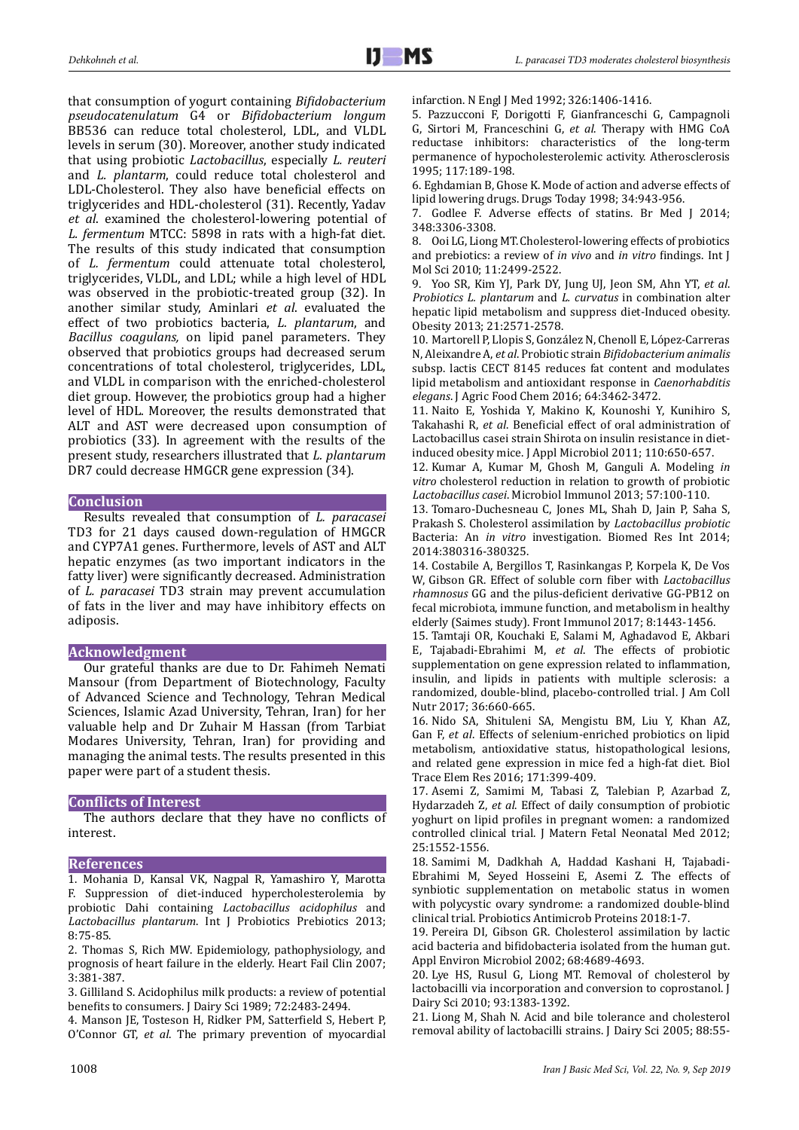that consumption of yogurt containing *Bifidobacterium pseudocatenulatum* G4 or *Bifidobacterium longum*  BB536 can reduce total cholesterol, LDL, and VLDL levels in serum (30). Moreover, another study indicated that using probiotic *Lactobacillus*, especially *L. reuteri* and *L. plantarm*, could reduce total cholesterol and LDL-Cholesterol. They also have beneficial effects on triglycerides and HDL-cholesterol (31). Recently, Yadav *et al*. examined the cholesterol-lowering potential of *L. fermentum* MTCC: 5898 in rats with a high-fat diet. The results of this study indicated that consumption of *L. fermentum* could attenuate total cholesterol, triglycerides, VLDL, and LDL; while a high level of HDL was observed in the probiotic-treated group (32). In another similar study, Aminlari *et al*. evaluated the effect of two probiotics bacteria, *L. plantarum*, and *Bacillus coagulans,* on lipid panel parameters. They observed that probiotics groups had decreased serum concentrations of total cholesterol, triglycerides, LDL, and VLDL in comparison with the enriched-cholesterol diet group. However, the probiotics group had a higher level of HDL. Moreover, the results demonstrated that ALT and AST were decreased upon consumption of probiotics (33). In agreement with the results of the present study, researchers illustrated that *L. plantarum* DR7 could decrease HMGCR gene expression (34).

## **Conclusion**

Results revealed that consumption of *L. paracasei*  TD3 for 21 days caused down-regulation of HMGCR and CYP7A1 genes. Furthermore, levels of AST and ALT hepatic enzymes (as two important indicators in the fatty liver) were significantly decreased. Administration of *L. paracasei* TD3 strain may prevent accumulation of fats in the liver and may have inhibitory effects on adiposis.

## **Acknowledgment**

Our grateful thanks are due to Dr. Fahimeh Nemati Mansour (from Department of Biotechnology, Faculty of Advanced Science and Technology, Tehran Medical Sciences, Islamic Azad University, Tehran, Iran) for her valuable help and Dr Zuhair M Hassan (from Tarbiat Modares University, Tehran, Iran) for providing and managing the animal tests. The results presented in this paper were part of a student thesis.

# **Conflicts of Interest**

The authors declare that they have no conflicts of interest.

## **References**

1. Mohania D, Kansal VK, Nagpal R, Yamashiro Y, Marotta F. Suppression of diet-induced hypercholesterolemia by probiotic Dahi containing *Lactobacillus acidophilus* and *Lactobacillus plantarum*. Int J Probiotics Prebiotics 2013; 8:75-85.

2. Thomas S, Rich MW. Epidemiology, pathophysiology, and prognosis of heart failure in the elderly. Heart Fail Clin 2007; 3:381-387.

3. Gilliland S. Acidophilus milk products: a review of potential benefits to consumers. J Dairy Sci 1989; 72:2483-2494.

4. Manson JE, Tosteson H, Ridker PM, Satterfield S, Hebert P, O'Connor GT, *et al*. The primary prevention of myocardial infarction. N Engl J Med 1992; 326:1406-1416.

5. Pazzucconi F, Dorigotti F, Gianfranceschi G, Campagnoli G, Sirtori M, Franceschini G, *et al*. Therapy with HMG CoA reductase inhibitors: characteristics of the long-term permanence of hypocholesterolemic activity. Atherosclerosis 1995; 117:189-198.

6. Eghdamian B, Ghose K. Mode of action and adverse effects of lipid lowering drugs. Drugs Today 1998; 34:943-956.

7. Godlee F. Adverse effects of statins. Br Med J 2014; 348:3306-3308.

8. Ooi LG, Liong MT. Cholesterol-lowering effects of probiotics and prebiotics: a review of *in vivo* and *in vitro* findings. Int J Mol Sci 2010; 11:2499-2522.

9. Yoo SR, Kim YJ, Park DY, Jung UJ, Jeon SM, Ahn YT, *et al*. *Probiotics L. plantarum* and *L. curvatus* in combination alter hepatic lipid metabolism and suppress diet-Induced obesity. Obesity 2013; 21:2571-2578.

10. Martorell P, Llopis S, González N, Chenoll E, López-Carreras N, Aleixandre A, *et al*. Probiotic strain *Bifidobacterium animalis*  subsp. lactis CECT 8145 reduces fat content and modulates lipid metabolism and antioxidant response in *Caenorhabditis elegans*. J Agric Food Chem 2016; 64:3462-3472.

11. Naito E, Yoshida Y, Makino K, Kounoshi Y, Kunihiro S, Takahashi R, *et al*. Beneficial effect of oral administration of Lactobacillus casei strain Shirota on insulin resistance in dietinduced obesity mice. J Appl Microbiol 2011; 110:650-657.

12. Kumar A, Kumar M, Ghosh M, Ganguli A. Modeling *in vitro* cholesterol reduction in relation to growth of probiotic *Lactobacillus casei*. Microbiol Immunol 2013; 57:100-110.

13. Tomaro-Duchesneau C, Jones ML, Shah D, Jain P, Saha S, Prakash S. Cholesterol assimilation by *Lactobacillus probiotic* Bacteria: An *in vitro* investigation. Biomed Res Int 2014; 2014:380316-380325.

14. Costabile A, Bergillos T, Rasinkangas P, Korpela K, De Vos W, Gibson GR. Effect of soluble corn fiber with *Lactobacillus rhamnosus* GG and the pilus-deficient derivative GG-PB12 on fecal microbiota, immune function, and metabolism in healthy elderly (Saimes study). Front Immunol 2017; 8:1443-1456.

15. Tamtaji OR, Kouchaki E, Salami M, Aghadavod E, Akbari E, Tajabadi-Ebrahimi M, *et al*. The effects of probiotic supplementation on gene expression related to inflammation, insulin, and lipids in patients with multiple sclerosis: a randomized, double-blind, placebo-controlled trial. J Am Coll Nutr 2017; 36:660-665.

16. Nido SA, Shituleni SA, Mengistu BM, Liu Y, Khan AZ, Gan F, *et al*. Effects of selenium-enriched probiotics on lipid metabolism, antioxidative status, histopathological lesions, and related gene expression in mice fed a high-fat diet. Biol Trace Elem Res 2016; 171:399-409.

17. Asemi Z, Samimi M, Tabasi Z, Talebian P, Azarbad Z, Hydarzadeh Z, *et al*. Effect of daily consumption of probiotic yoghurt on lipid profiles in pregnant women: a randomized controlled clinical trial. J Matern Fetal Neonatal Med 2012; 25:1552-1556.

18. Samimi M, Dadkhah A, Haddad Kashani H, Tajabadi-Ebrahimi M, Seyed Hosseini E, Asemi Z. The effects of synbiotic supplementation on metabolic status in women with polycystic ovary syndrome: a randomized double-blind clinical trial. Probiotics Antimicrob Proteins 2018:1-7.

19. Pereira DI, Gibson GR. Cholesterol assimilation by lactic acid bacteria and bifidobacteria isolated from the human gut. Appl Environ Microbiol 2002; 68:4689-4693.

20. Lye HS, Rusul G, Liong MT. Removal of cholesterol by lactobacilli via incorporation and conversion to coprostanol. J Dairy Sci 2010; 93:1383-1392.

21. Liong M, Shah N. Acid and bile tolerance and cholesterol removal ability of lactobacilli strains. J Dairy Sci 2005; 88:55